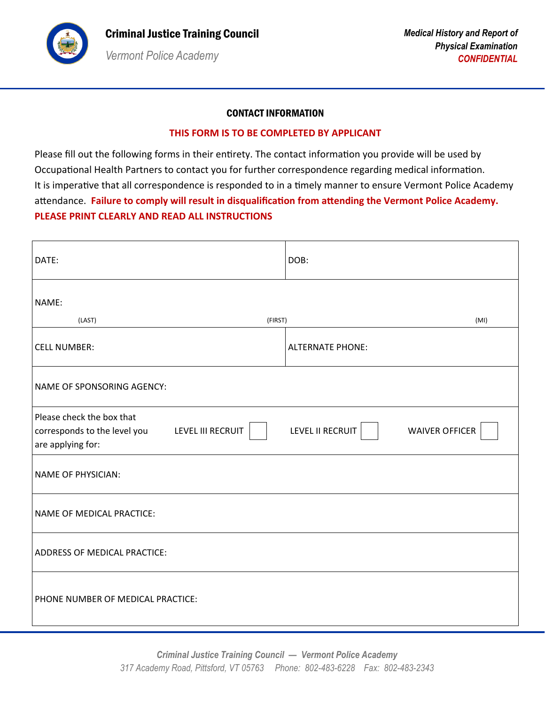

# CONTACT INFORMATION

## **THIS FORM IS TO BE COMPLETED BY APPLICANT**

Please fill out the following forms in their entirety. The contact information you provide will be used by Occupational Health Partners to contact you for further correspondence regarding medical information. It is imperative that all correspondence is responded to in a timely manner to ensure Vermont Police Academy attendance. **Failure to comply will result in disqualification from attending the Vermont Police Academy. PLEASE PRINT CLEARLY AND READ ALL INSTRUCTIONS**

| DATE:                                                                                                      | DOB:                                      |  |  |  |
|------------------------------------------------------------------------------------------------------------|-------------------------------------------|--|--|--|
| NAME:                                                                                                      |                                           |  |  |  |
| (LAST)<br>(FIRST)                                                                                          | (MI)                                      |  |  |  |
| <b>CELL NUMBER:</b>                                                                                        | <b>ALTERNATE PHONE:</b>                   |  |  |  |
| NAME OF SPONSORING AGENCY:                                                                                 |                                           |  |  |  |
| Please check the box that<br><b>LEVEL III RECRUIT</b><br>corresponds to the level you<br>are applying for: | LEVEL II RECRUIT<br><b>WAIVER OFFICER</b> |  |  |  |
| <b>NAME OF PHYSICIAN:</b>                                                                                  |                                           |  |  |  |
| NAME OF MEDICAL PRACTICE:                                                                                  |                                           |  |  |  |
| ADDRESS OF MEDICAL PRACTICE:                                                                               |                                           |  |  |  |
| PHONE NUMBER OF MEDICAL PRACTICE:                                                                          |                                           |  |  |  |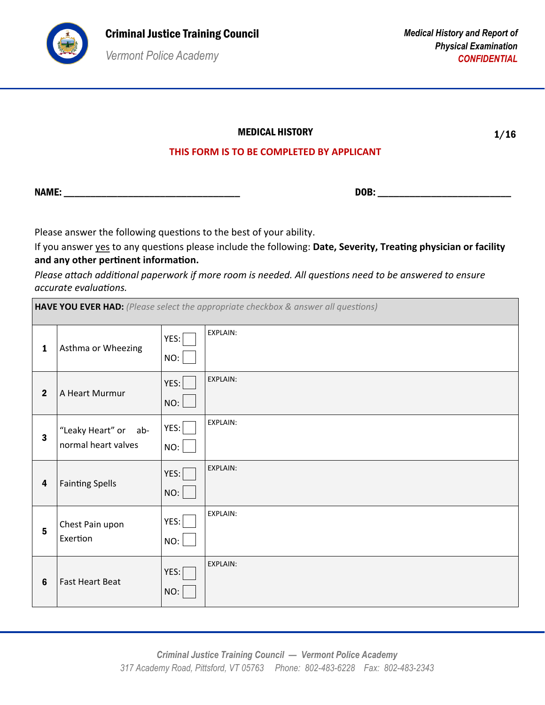

1/16

# **THIS FORM IS TO BE COMPLETED BY APPLICANT**

NAME: \_\_\_\_\_\_\_\_\_\_\_\_\_\_\_\_\_\_\_\_\_\_\_\_\_\_\_\_\_\_\_\_\_ DOB: \_\_\_\_\_\_\_\_\_\_\_\_\_\_\_\_\_\_\_\_\_\_\_\_\_

Please answer the following questions to the best of your ability.

If you answer yes to any questions please include the following: **Date, Severity, Treating physician or facility and any other pertinent information.**

*Please attach additional paperwork if more room is needed. All questions need to be answered to ensure accurate evaluations.*

| <b>HAVE YOU EVER HAD:</b> (Please select the appropriate checkbox & answer all questions) |                                             |             |                 |
|-------------------------------------------------------------------------------------------|---------------------------------------------|-------------|-----------------|
| $\mathbf{1}$                                                                              | Asthma or Wheezing                          | YES:<br>NO: | EXPLAIN:        |
| $\mathbf{2}$                                                                              | A Heart Murmur                              | YES:<br>NO: | <b>EXPLAIN:</b> |
| $\overline{\mathbf{3}}$                                                                   | "Leaky Heart" or ab-<br>normal heart valves | YES:<br>NO: | EXPLAIN:        |
| $\overline{\mathbf{4}}$                                                                   | <b>Fainting Spells</b>                      | YES:<br>NO: | <b>EXPLAIN:</b> |
| $5\phantom{a}$                                                                            | Chest Pain upon<br>Exertion                 | YES:<br>NO: | EXPLAIN:        |
| $6\phantom{1}6$                                                                           | <b>Fast Heart Beat</b>                      | YES:<br>NO: | EXPLAIN:        |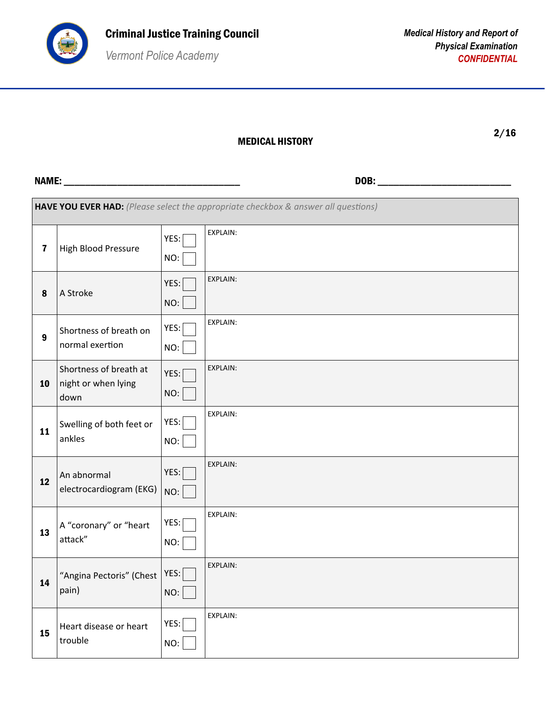

#### MEDICAL HISTORY

2/16

| HAVE YOU EVER HAD: (Please select the appropriate checkbox & answer all questions) |                                                       |             |          |
|------------------------------------------------------------------------------------|-------------------------------------------------------|-------------|----------|
| $\overline{\mathbf{7}}$                                                            | High Blood Pressure                                   | YES:<br>NO: | EXPLAIN: |
| 8                                                                                  | A Stroke                                              | YES:<br>NO: | EXPLAIN: |
| $\boldsymbol{9}$                                                                   | Shortness of breath on<br>normal exertion             | YES:<br>NO: | EXPLAIN: |
| 10                                                                                 | Shortness of breath at<br>night or when lying<br>down | YES:<br>NO: | EXPLAIN: |
| 11                                                                                 | Swelling of both feet or<br>ankles                    | YES:<br>NO: | EXPLAIN: |
| 12                                                                                 | An abnormal<br>electrocardiogram (EKG)                | YES:<br>NO: | EXPLAIN: |
| 13                                                                                 | A "coronary" or "heart<br>attack"                     | YES:<br>NO: | EXPLAIN: |
| 14                                                                                 | "Angina Pectoris" (Chest<br>pain)                     | YES:<br>NO: | EXPLAIN: |
| 15                                                                                 | Heart disease or heart<br>trouble                     | YES:<br>NO: | EXPLAIN: |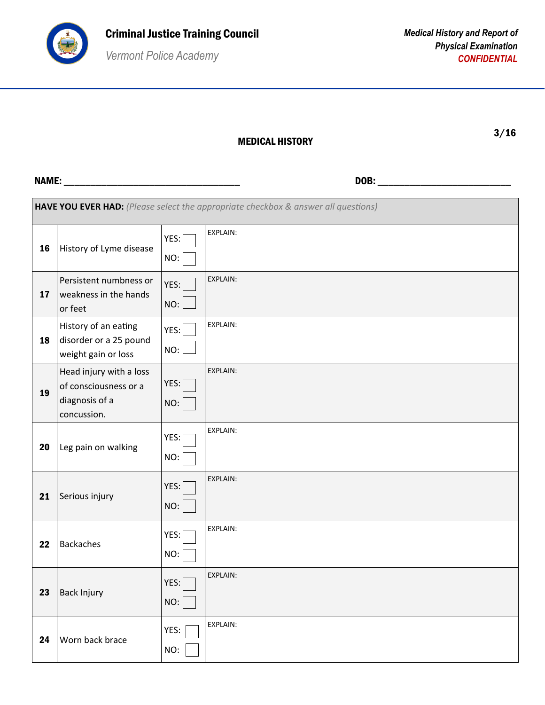

#### MEDICAL HISTORY

3/16

| HAVE YOU EVER HAD: (Please select the appropriate checkbox & answer all questions) |                                                                                   |             |                 |
|------------------------------------------------------------------------------------|-----------------------------------------------------------------------------------|-------------|-----------------|
| 16                                                                                 | History of Lyme disease                                                           | YES:<br>NO: | EXPLAIN:        |
| 17                                                                                 | Persistent numbness or<br>weakness in the hands<br>or feet                        | YES:<br>NO: | <b>EXPLAIN:</b> |
| 18                                                                                 | History of an eating<br>disorder or a 25 pound<br>weight gain or loss             | YES:<br>NO: | <b>EXPLAIN:</b> |
| 19                                                                                 | Head injury with a loss<br>of consciousness or a<br>diagnosis of a<br>concussion. | YES:<br>NO: | EXPLAIN:        |
| 20                                                                                 | Leg pain on walking                                                               | YES:<br>NO: | EXPLAIN:        |
| 21                                                                                 | Serious injury                                                                    | YES:<br>NO: | <b>EXPLAIN:</b> |
| 22                                                                                 | <b>Backaches</b>                                                                  | YES:<br>NO: | EXPLAIN:        |
| 23                                                                                 | <b>Back Injury</b>                                                                | YES:<br>NO: | <b>EXPLAIN:</b> |
| 24                                                                                 | Worn back brace                                                                   | YES:<br>NO: | EXPLAIN:        |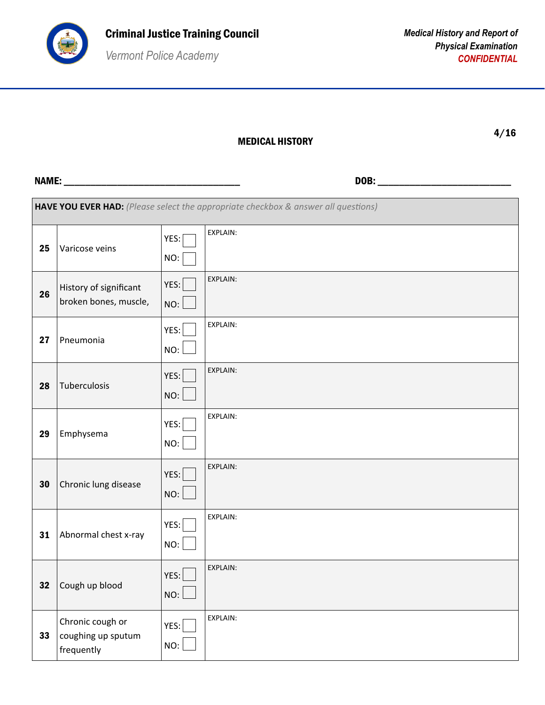

| HAVE YOU EVER HAD: (Please select the appropriate checkbox & answer all questions) |                                                      |             |                 |
|------------------------------------------------------------------------------------|------------------------------------------------------|-------------|-----------------|
| 25                                                                                 | Varicose veins                                       | YES:<br>NO: | EXPLAIN:        |
| 26                                                                                 | History of significant<br>broken bones, muscle,      | YES:<br>NO: | EXPLAIN:        |
| 27                                                                                 | Pneumonia                                            | YES:<br>NO: | EXPLAIN:        |
| 28                                                                                 | Tuberculosis                                         | YES:<br>NO: | EXPLAIN:        |
| 29                                                                                 | Emphysema                                            | YES:<br>NO: | EXPLAIN:        |
| 30                                                                                 | Chronic lung disease                                 | YES:<br>NO: | <b>EXPLAIN:</b> |
| 31                                                                                 | Abnormal chest x-ray                                 | YES:<br>NO: | EXPLAIN:        |
| 32                                                                                 | Cough up blood                                       | YES:<br>NO: | EXPLAIN:        |
| 33                                                                                 | Chronic cough or<br>coughing up sputum<br>frequently | YES:<br>NO: | EXPLAIN:        |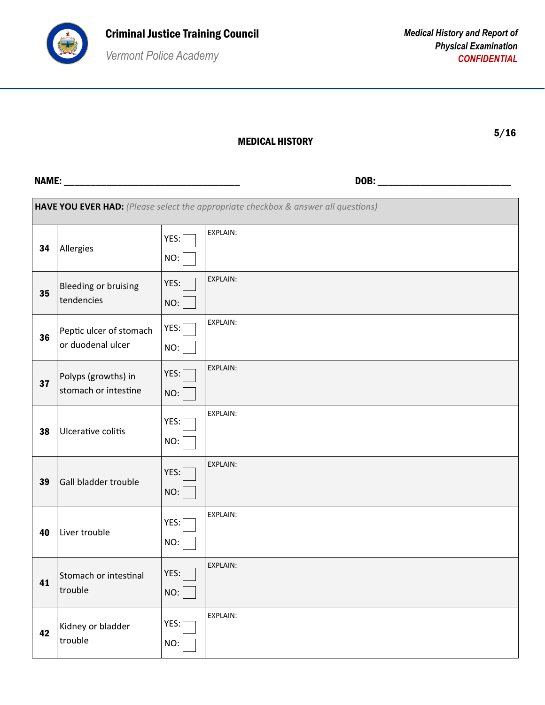

| HAVE YOU EVER HAD: (Please select the appropriate checkbox & answer all questions) |                                              |             |                 |
|------------------------------------------------------------------------------------|----------------------------------------------|-------------|-----------------|
| 34                                                                                 | Allergies                                    | YES:<br>NO: | EXPLAIN:        |
| 35                                                                                 | <b>Bleeding or bruising</b><br>tendencies    | YES:<br>NO: | EXPLAIN:        |
| 36                                                                                 | Peptic ulcer of stomach<br>or duodenal ulcer | YES:<br>NO: | EXPLAIN:        |
| 37                                                                                 | Polyps (growths) in<br>stomach or intestine  | YES:<br>NO: | EXPLAIN:        |
| 38                                                                                 | Ulcerative colitis                           | YES:<br>NO: | EXPLAIN:        |
| 39                                                                                 | Gall bladder trouble                         | YES:<br>NO: | EXPLAIN:        |
| 40                                                                                 | Liver trouble                                | YES:<br>NO: | EXPLAIN:        |
| 41                                                                                 | Stomach or intestinal<br>trouble             | YES:<br>NO: | <b>EXPLAIN:</b> |
| 42                                                                                 | Kidney or bladder<br>trouble                 | YES:<br>NO: | EXPLAIN:        |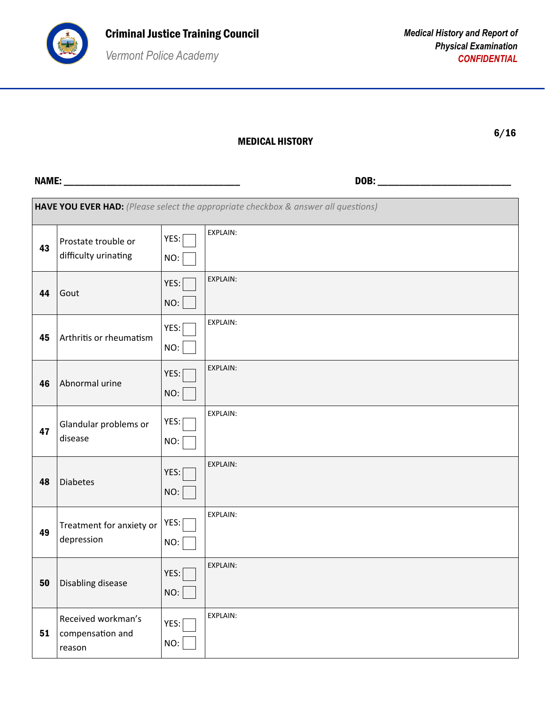

| HAVE YOU EVER HAD: (Please select the appropriate checkbox & answer all questions) |                                                  |             |                 |  |
|------------------------------------------------------------------------------------|--------------------------------------------------|-------------|-----------------|--|
| 43                                                                                 | Prostate trouble or<br>difficulty urinating      | YES:<br>NO: | EXPLAIN:        |  |
| 44                                                                                 | Gout                                             | YES:<br>NO: | EXPLAIN:        |  |
| 45                                                                                 | Arthritis or rheumatism                          | YES:<br>NO: | <b>EXPLAIN:</b> |  |
| 46                                                                                 | Abnormal urine                                   | YES:<br>NO: | <b>EXPLAIN:</b> |  |
| 47                                                                                 | Glandular problems or<br>disease                 | YES:<br>NO: | EXPLAIN:        |  |
| 48                                                                                 | <b>Diabetes</b>                                  | YES:<br>NO: | EXPLAIN:        |  |
| 49                                                                                 | Treatment for anxiety or<br>depression           | YES:<br>NO: | EXPLAIN:        |  |
| 50                                                                                 | Disabling disease                                | YES:<br>NO: | <b>EXPLAIN:</b> |  |
| 51                                                                                 | Received workman's<br>compensation and<br>reason | YES:<br>NO: | EXPLAIN:        |  |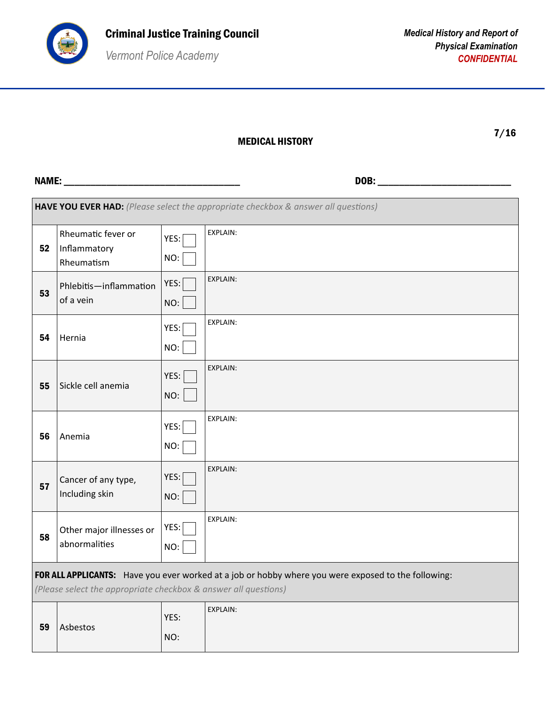

| ×<br>۰. |
|---------|

|                                                                                                                                                                        | HAVE YOU EVER HAD: (Please select the appropriate checkbox & answer all questions) |             |                 |  |
|------------------------------------------------------------------------------------------------------------------------------------------------------------------------|------------------------------------------------------------------------------------|-------------|-----------------|--|
| 52                                                                                                                                                                     | Rheumatic fever or<br>Inflammatory<br>Rheumatism                                   | YES:<br>NO: | <b>EXPLAIN:</b> |  |
| 53                                                                                                                                                                     | Phlebitis-inflammation<br>of a vein                                                | YES:<br>NO: | EXPLAIN:        |  |
| 54                                                                                                                                                                     | Hernia                                                                             | YES:<br>NO: | EXPLAIN:        |  |
| 55                                                                                                                                                                     | Sickle cell anemia                                                                 | YES:<br>NO: | <b>EXPLAIN:</b> |  |
| 56                                                                                                                                                                     | Anemia                                                                             | YES:<br>NO: | <b>EXPLAIN:</b> |  |
| 57                                                                                                                                                                     | Cancer of any type,<br>Including skin                                              | YES:<br>NO: | <b>EXPLAIN:</b> |  |
| 58                                                                                                                                                                     | Other major illnesses or<br>abnormalities                                          | YES:<br>NO: | EXPLAIN:        |  |
| FOR ALL APPLICANTS: Have you ever worked at a job or hobby where you were exposed to the following:<br>(Please select the appropriate checkbox & answer all questions) |                                                                                    |             |                 |  |
| 59                                                                                                                                                                     | Asbestos                                                                           | YES:<br>NO: | <b>EXPLAIN:</b> |  |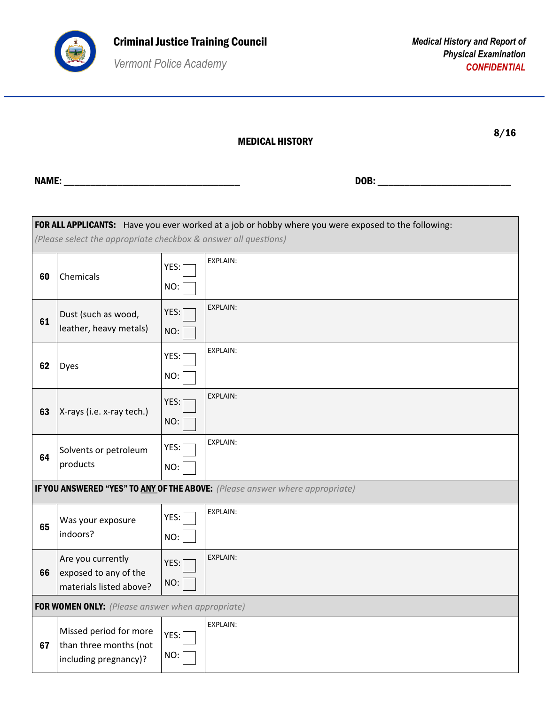

MEDICAL HISTORY

8/16

| FOR ALL APPLICANTS: Have you ever worked at a job or hobby where you were exposed to the following: |                                                                           |             |                 |
|-----------------------------------------------------------------------------------------------------|---------------------------------------------------------------------------|-------------|-----------------|
|                                                                                                     | (Please select the appropriate checkbox & answer all questions)           |             |                 |
| 60                                                                                                  | Chemicals                                                                 | YES:<br>NO: | <b>EXPLAIN:</b> |
| 61                                                                                                  | Dust (such as wood,<br>leather, heavy metals)                             | YES:<br>NO: | <b>EXPLAIN:</b> |
| 62                                                                                                  | <b>Dyes</b>                                                               | YES:<br>NO: | <b>EXPLAIN:</b> |
| 63                                                                                                  | X-rays (i.e. x-ray tech.)                                                 | YES:<br>NO: | <b>EXPLAIN:</b> |
| 64                                                                                                  | Solvents or petroleum<br>products                                         | YES:<br>NO: | EXPLAIN:        |
| IF YOU ANSWERED "YES" TO ANY OF THE ABOVE: (Please answer where appropriate)                        |                                                                           |             |                 |
| 65                                                                                                  | Was your exposure<br>indoors?                                             | YES:<br>NO: | <b>EXPLAIN:</b> |
| 66                                                                                                  | Are you currently<br>exposed to any of the<br>materials listed above?     | YES:<br>NO: | <b>EXPLAIN:</b> |
|                                                                                                     | FOR WOMEN ONLY: (Please answer when appropriate)                          |             |                 |
| 67                                                                                                  | Missed period for more<br>than three months (not<br>including pregnancy)? | YES:<br>NO: | <b>EXPLAIN:</b> |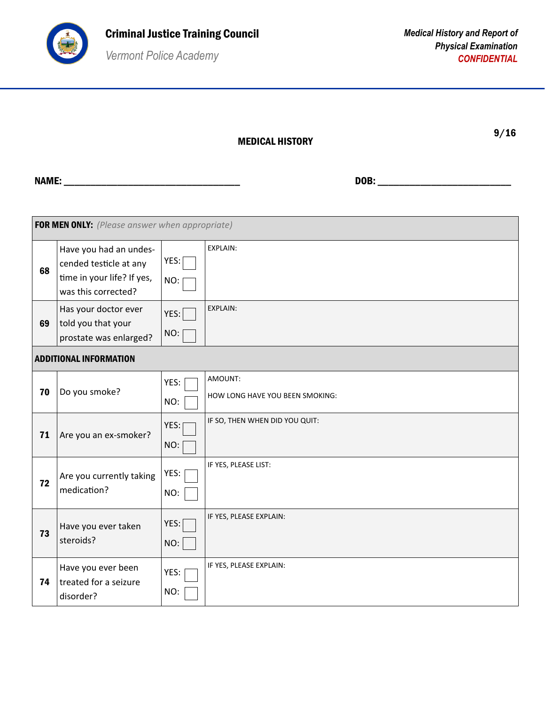

## MEDICAL HISTORY

9/16

| FOR MEN ONLY: (Please answer when appropriate) |                                                                                                       |             |                                            |
|------------------------------------------------|-------------------------------------------------------------------------------------------------------|-------------|--------------------------------------------|
| 68                                             | Have you had an undes-<br>cended testicle at any<br>time in your life? If yes,<br>was this corrected? | YES:<br>NO: | EXPLAIN:                                   |
| 69                                             | Has your doctor ever<br>told you that your<br>prostate was enlarged?                                  | YES:<br>NO: | EXPLAIN:                                   |
|                                                | <b>ADDITIONAL INFORMATION</b>                                                                         |             |                                            |
| 70                                             | Do you smoke?                                                                                         | YES:<br>NO: | AMOUNT:<br>HOW LONG HAVE YOU BEEN SMOKING: |
| 71                                             | Are you an ex-smoker?                                                                                 | YES:<br>NO: | IF SO, THEN WHEN DID YOU QUIT:             |
| 72                                             | Are you currently taking<br>medication?                                                               | YES:<br>NO: | IF YES, PLEASE LIST:                       |
| 73                                             | Have you ever taken<br>steroids?                                                                      | YES:<br>NO: | IF YES, PLEASE EXPLAIN:                    |
| 74                                             | Have you ever been<br>treated for a seizure<br>disorder?                                              | YES:<br>NO: | IF YES, PLEASE EXPLAIN:                    |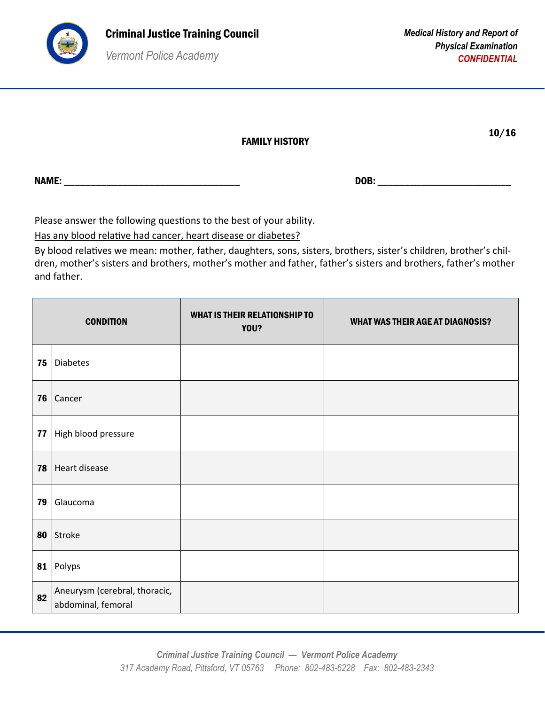

|              | <b>FAMILY HISTORY</b> |      | 10/16 |
|--------------|-----------------------|------|-------|
| <b>NAME:</b> |                       | DOB: |       |

Please answer the following questions to the best of your ability.

Has any blood relative had cancer, heart disease or diabetes?

By blood relatives we mean: mother, father, daughters, sons, sisters, brothers, sister's children, brother's children, mother's sisters and brothers, mother's mother and father, father's sisters and brothers, father's mother and father.

|    | <b>CONDITION</b>                                    | <b>WHAT IS THEIR RELATIONSHIP TO</b><br>YOU? | <b>WHAT WAS THEIR AGE AT DIAGNOSIS?</b> |
|----|-----------------------------------------------------|----------------------------------------------|-----------------------------------------|
| 75 | <b>Diabetes</b>                                     |                                              |                                         |
| 76 | Cancer                                              |                                              |                                         |
| 77 | High blood pressure                                 |                                              |                                         |
| 78 | Heart disease                                       |                                              |                                         |
| 79 | Glaucoma                                            |                                              |                                         |
| 80 | Stroke                                              |                                              |                                         |
| 81 | Polyps                                              |                                              |                                         |
| 82 | Aneurysm (cerebral, thoracic,<br>abdominal, femoral |                                              |                                         |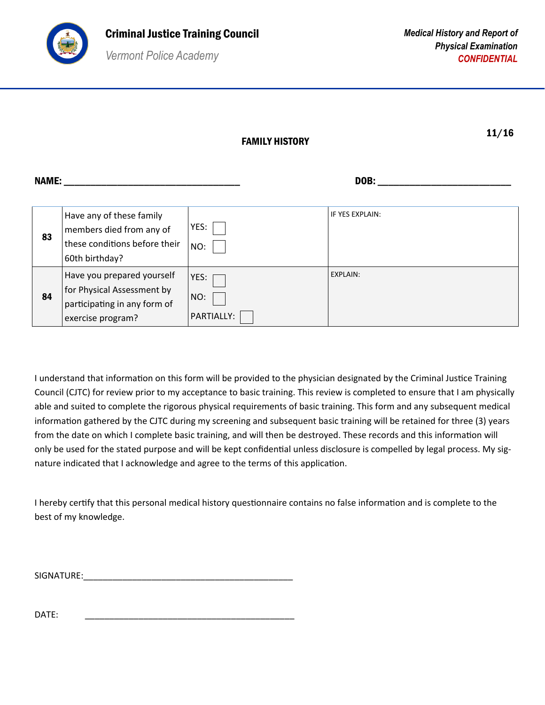

|  | × |  |
|--|---|--|

NAME: \_\_\_\_\_\_\_\_\_\_\_\_\_\_\_\_\_\_\_\_\_\_\_\_\_\_\_\_\_\_\_\_\_ DOB: \_\_\_\_\_\_\_\_\_\_\_\_\_\_\_\_\_\_\_\_\_\_\_\_\_

| 83 | Have any of these family<br>members died from any of<br>these conditions before their<br>60th birthday?       | YES:<br>NO:               | IF YES EXPLAIN: |
|----|---------------------------------------------------------------------------------------------------------------|---------------------------|-----------------|
| 84 | Have you prepared yourself<br>for Physical Assessment by<br>participating in any form of<br>exercise program? | YES:<br>NO:<br>PARTIALLY: | EXPLAIN:        |

I understand that information on this form will be provided to the physician designated by the Criminal Justice Training Council (CJTC) for review prior to my acceptance to basic training. This review is completed to ensure that I am physically able and suited to complete the rigorous physical requirements of basic training. This form and any subsequent medical information gathered by the CJTC during my screening and subsequent basic training will be retained for three (3) years from the date on which I complete basic training, and will then be destroyed. These records and this information will only be used for the stated purpose and will be kept confidential unless disclosure is compelled by legal process. My signature indicated that I acknowledge and agree to the terms of this application.

I hereby certify that this personal medical history questionnaire contains no false information and is complete to the best of my knowledge.

SIGNATURE:\_\_\_\_\_\_\_\_\_\_\_\_\_\_\_\_\_\_\_\_\_\_\_\_\_\_\_\_\_\_\_\_\_\_\_\_\_\_\_\_\_\_\_

DATE: \_\_\_\_\_\_\_\_\_\_\_\_\_\_\_\_\_\_\_\_\_\_\_\_\_\_\_\_\_\_\_\_\_\_\_\_\_\_\_\_\_\_\_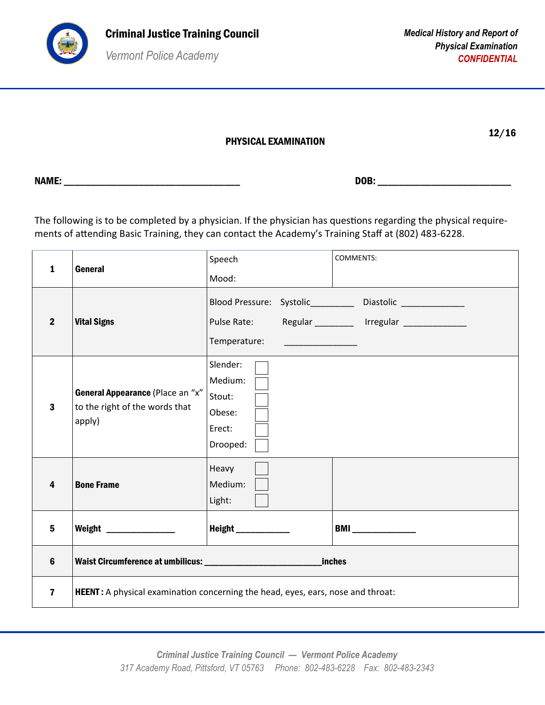

12/16

| PHYSICAL EXAMINATION |
|----------------------|
|----------------------|

The following is to be completed by a physician. If the physician has questions regarding the physical requirements of attending Basic Training, they can contact the Academy's Training Staff at (802) 483-6228.

| 1                       | <b>General</b>                                                                          | Speech                                                        | <b>COMMENTS:</b>                                                                                                                                                                                                                                                                                                                                   |
|-------------------------|-----------------------------------------------------------------------------------------|---------------------------------------------------------------|----------------------------------------------------------------------------------------------------------------------------------------------------------------------------------------------------------------------------------------------------------------------------------------------------------------------------------------------------|
|                         |                                                                                         | Mood:                                                         |                                                                                                                                                                                                                                                                                                                                                    |
| $\overline{2}$          | <b>Vital Signs</b>                                                                      | Pulse Rate:<br>Temperature:                                   | Blood Pressure: Systolic___________ Diastolic ______________<br>Regular _________ Irregular ______________<br><u> 1989 - Johann Harry Harry Harry Harry Harry Harry Harry Harry Harry Harry Harry Harry Harry Harry Harry Harry Harry Harry Harry Harry Harry Harry Harry Harry Harry Harry Harry Harry Harry Harry Harry Harry Harry Harry Ha</u> |
| $\mathbf{3}$            | General Appearance (Place an "x"<br>to the right of the words that<br>apply)            | Slender:<br>Medium:<br>Stout:<br>Obese:<br>Erect:<br>Drooped: |                                                                                                                                                                                                                                                                                                                                                    |
| 4                       | <b>Bone Frame</b>                                                                       | Heavy<br>Medium:<br>Light:                                    |                                                                                                                                                                                                                                                                                                                                                    |
| 5                       | Weight _______________                                                                  | Height ___________                                            | <b>BMI</b> ______________                                                                                                                                                                                                                                                                                                                          |
| 6                       |                                                                                         |                                                               | <b>inches</b>                                                                                                                                                                                                                                                                                                                                      |
| $\overline{\mathbf{z}}$ | <b>HEENT</b> : A physical examination concerning the head, eyes, ears, nose and throat: |                                                               |                                                                                                                                                                                                                                                                                                                                                    |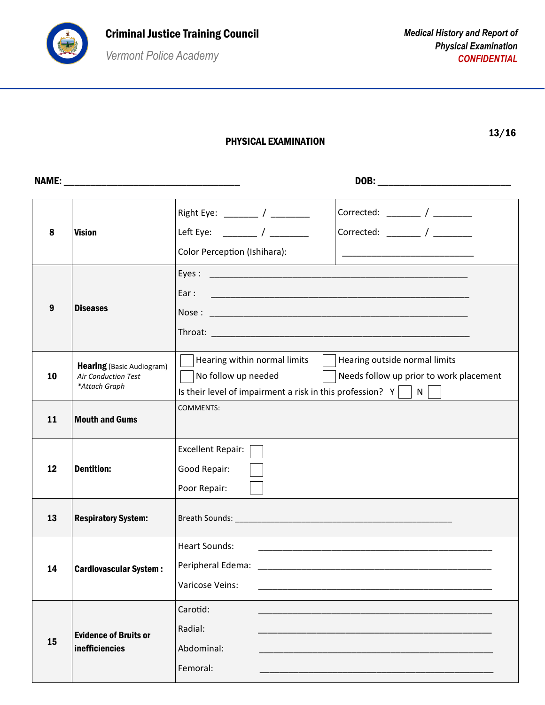

PHYSICAL EXAMINATION

|  | ٠<br>I |
|--|--------|
|--|--------|

| 8  | <b>Vision</b>                                                                   | Right Eye: ________ / ________<br>Corrected: $\frac{1}{2}$ / $\frac{1}{2}$<br>Left Eye: ________ / ________<br>Color Perception (Ishihara):                                                                           |
|----|---------------------------------------------------------------------------------|-----------------------------------------------------------------------------------------------------------------------------------------------------------------------------------------------------------------------|
| 9  | <b>Diseases</b>                                                                 | Ear:                                                                                                                                                                                                                  |
| 10 | <b>Hearing</b> (Basic Audiogram)<br><b>Air Conduction Test</b><br>*Attach Graph | Hearing within normal limits $\ \cdot\ $ Hearing outside normal limits<br>No follow up needed<br>  Needs follow up prior to work placement<br>Is their level of impairment a risk in this profession? $Y \mid N \mid$ |
| 11 | <b>Mouth and Gums</b>                                                           | <b>COMMENTS:</b>                                                                                                                                                                                                      |
| 12 | <b>Dentition:</b>                                                               | Excellent Repair:<br>Good Repair:<br>Poor Repair:                                                                                                                                                                     |
| 13 | <b>Respiratory System:</b>                                                      |                                                                                                                                                                                                                       |
| 14 | <b>Cardiovascular System:</b>                                                   | <b>Heart Sounds:</b><br>Peripheral Edema:<br>Varicose Veins:                                                                                                                                                          |
| 15 | <b>Evidence of Bruits or</b><br><b>inefficiencies</b>                           | Carotid:<br>Radial:<br>Abdominal:<br>Femoral:                                                                                                                                                                         |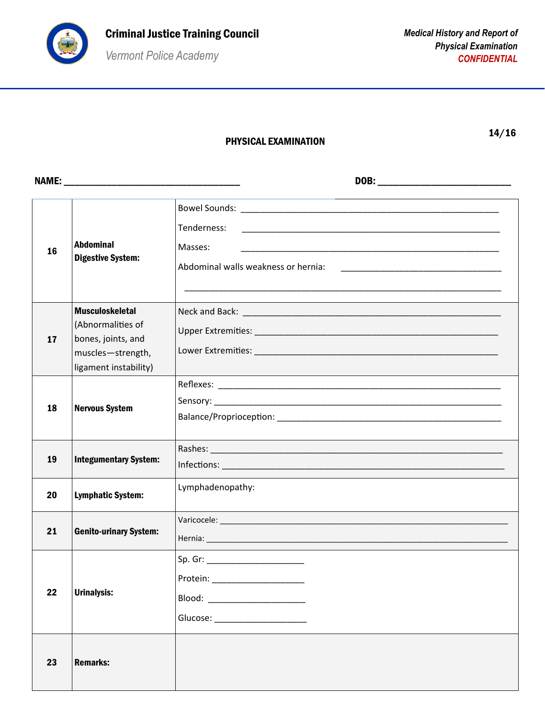

## PHYSICAL EXAMINATION

14/16

| 16 | <b>Abdominal</b><br><b>Digestive System:</b>                                                                    | Tenderness:<br>Masses:<br>Abdominal walls weakness or hernia:                                                                                                                                                                                                                                                                            |
|----|-----------------------------------------------------------------------------------------------------------------|------------------------------------------------------------------------------------------------------------------------------------------------------------------------------------------------------------------------------------------------------------------------------------------------------------------------------------------|
| 17 | <b>Musculoskeletal</b><br>(Abnormalities of<br>bones, joints, and<br>muscles-strength,<br>ligament instability) |                                                                                                                                                                                                                                                                                                                                          |
| 18 | <b>Nervous System</b>                                                                                           |                                                                                                                                                                                                                                                                                                                                          |
| 19 | <b>Integumentary System:</b>                                                                                    | Rashes: North Communication of the Communication of the Communication of the Communication of the Communication                                                                                                                                                                                                                          |
| 20 | <b>Lymphatic System:</b>                                                                                        | Lymphadenopathy:                                                                                                                                                                                                                                                                                                                         |
| 21 | <b>Genito-urinary System:</b>                                                                                   |                                                                                                                                                                                                                                                                                                                                          |
| 22 | <b>Urinalysis:</b>                                                                                              | Sp. Gr: _________________________<br>Protein: _____________________<br>Blood: ________________________<br>Glucose: New York Change of the Change of the Change of the Change of the Change of the Change of the Change of the Change of the Change of the Change of the Change of the Change of the Change of the Change of the Change o |
| 23 | <b>Remarks:</b>                                                                                                 |                                                                                                                                                                                                                                                                                                                                          |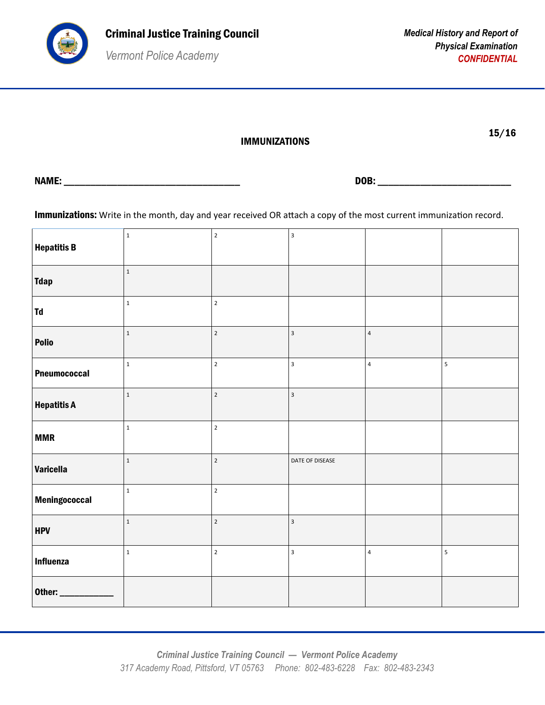

15/16

IMMUNIZATIONS

NAME: \_\_\_\_\_\_\_\_\_\_\_\_\_\_\_\_\_\_\_\_\_\_\_\_\_\_\_\_\_\_\_\_\_ DOB: \_\_\_\_\_\_\_\_\_\_\_\_\_\_\_\_\_\_\_\_\_\_\_\_\_

Immunizations: Write in the month, day and year received OR attach a copy of the most current immunization record.

| <b>Hepatitis B</b>  | $\mathbf 1$  | $\mathbf 2$    | $\mathsf 3$             |                         |                         |
|---------------------|--------------|----------------|-------------------------|-------------------------|-------------------------|
| <b>Tdap</b>         | $\,1\,$      |                |                         |                         |                         |
| Td                  | $\mathbf 1$  | $\mathbf 2$    |                         |                         |                         |
| Polio               | $1\,$        | $\mathbf 2$    | $\mathbf{3}$            | $\sqrt{4}$              |                         |
| <b>Pneumococcal</b> | $\mathbf 1$  | $\overline{2}$ | $\mathbf{3}$            | $\sqrt{4}$              | $\overline{\mathbf{5}}$ |
| <b>Hepatitis A</b>  | $\mathbf{1}$ | $\overline{2}$ | $\overline{\mathbf{3}}$ |                         |                         |
| <b>MMR</b>          | $\mathbf 1$  | $\mathbf 2$    |                         |                         |                         |
| <b>Varicella</b>    | $\,1\,$      | $\overline{2}$ | DATE OF DISEASE         |                         |                         |
| Meningococcal       | $\,1$        | $\mathbf 2$    |                         |                         |                         |
| <b>HPV</b>          | $\,1\,$      | $\overline{2}$ | $\overline{\mathbf{3}}$ |                         |                         |
| <b>Influenza</b>    | $\mathbf{1}$ | $\overline{2}$ | $\mathbf{3}$            | $\overline{\mathbf{4}}$ | $\overline{\mathbf{5}}$ |
| Other:              |              |                |                         |                         |                         |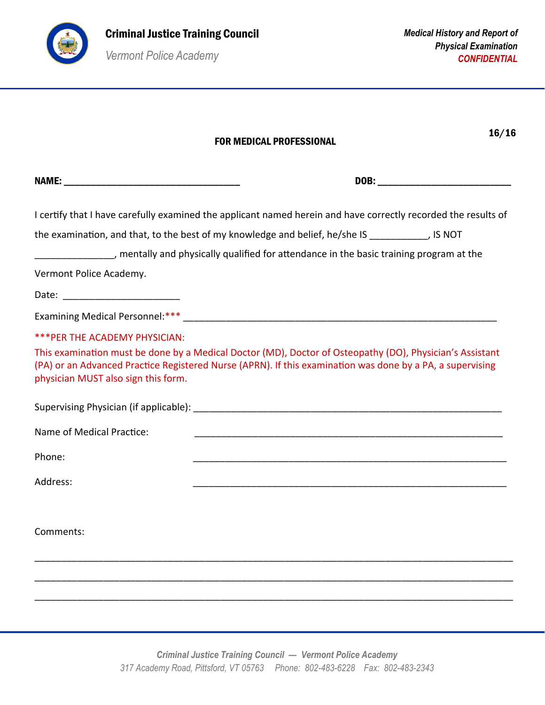

|                                     | 16/16<br><b>FOR MEDICAL PROFESSIONAL</b>                                                                                                                                                                              |
|-------------------------------------|-----------------------------------------------------------------------------------------------------------------------------------------------------------------------------------------------------------------------|
|                                     |                                                                                                                                                                                                                       |
|                                     | I certify that I have carefully examined the applicant named herein and have correctly recorded the results of                                                                                                        |
|                                     | the examination, and that, to the best of my knowledge and belief, he/she IS __________, IS NOT<br>________________, mentally and physically qualified for attendance in the basic training program at the            |
| Vermont Police Academy.             |                                                                                                                                                                                                                       |
|                                     |                                                                                                                                                                                                                       |
|                                     |                                                                                                                                                                                                                       |
| *** PER THE ACADEMY PHYSICIAN:      |                                                                                                                                                                                                                       |
| physician MUST also sign this form. | This examination must be done by a Medical Doctor (MD), Doctor of Osteopathy (DO), Physician's Assistant<br>(PA) or an Advanced Practice Registered Nurse (APRN). If this examination was done by a PA, a supervising |
|                                     |                                                                                                                                                                                                                       |
| Name of Medical Practice:           |                                                                                                                                                                                                                       |
| Phone:                              |                                                                                                                                                                                                                       |
| Address:                            |                                                                                                                                                                                                                       |
| Comments:                           |                                                                                                                                                                                                                       |
|                                     |                                                                                                                                                                                                                       |
|                                     |                                                                                                                                                                                                                       |
|                                     |                                                                                                                                                                                                                       |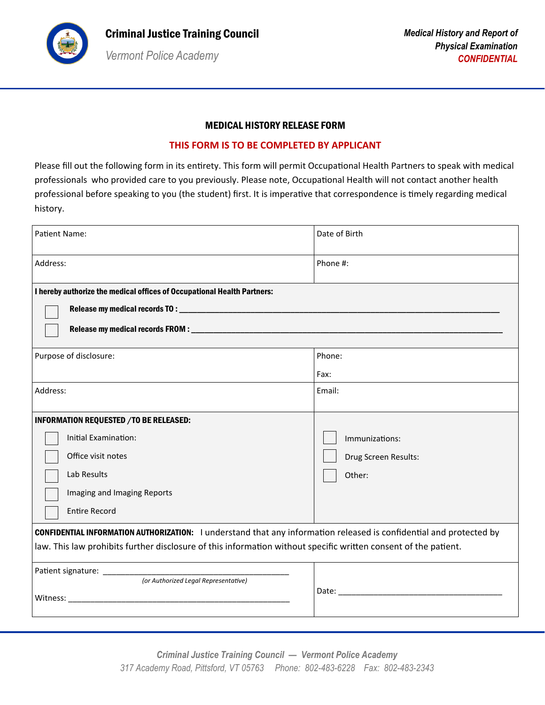

### MEDICAL HISTORY RELEASE FORM

#### **THIS FORM IS TO BE COMPLETED BY APPLICANT**

Please fill out the following form in its entirety. This form will permit Occupational Health Partners to speak with medical professionals who provided care to you previously. Please note, Occupational Health will not contact another health professional before speaking to you (the student) first. It is imperative that correspondence is timely regarding medical history.

| <b>Patient Name:</b>                                                                                                                                                                                                                          | Date of Birth                                    |  |  |  |
|-----------------------------------------------------------------------------------------------------------------------------------------------------------------------------------------------------------------------------------------------|--------------------------------------------------|--|--|--|
| Address:                                                                                                                                                                                                                                      | Phone #:                                         |  |  |  |
| I hereby authorize the medical offices of Occupational Health Partners:                                                                                                                                                                       |                                                  |  |  |  |
| Purpose of disclosure:                                                                                                                                                                                                                        | Phone:<br>Fax:                                   |  |  |  |
| Address:                                                                                                                                                                                                                                      | Email:                                           |  |  |  |
| INFORMATION REQUESTED / TO BE RELEASED:<br>Initial Examination:<br>Office visit notes<br>Lab Results<br>Imaging and Imaging Reports<br><b>Entire Record</b>                                                                                   | Immunizations:<br>Drug Screen Results:<br>Other: |  |  |  |
| <b>CONFIDENTIAL INFORMATION AUTHORIZATION:</b> I understand that any information released is confidential and protected by<br>law. This law prohibits further disclosure of this information without specific written consent of the patient. |                                                  |  |  |  |
| (or Authorized Legal Representative)                                                                                                                                                                                                          |                                                  |  |  |  |